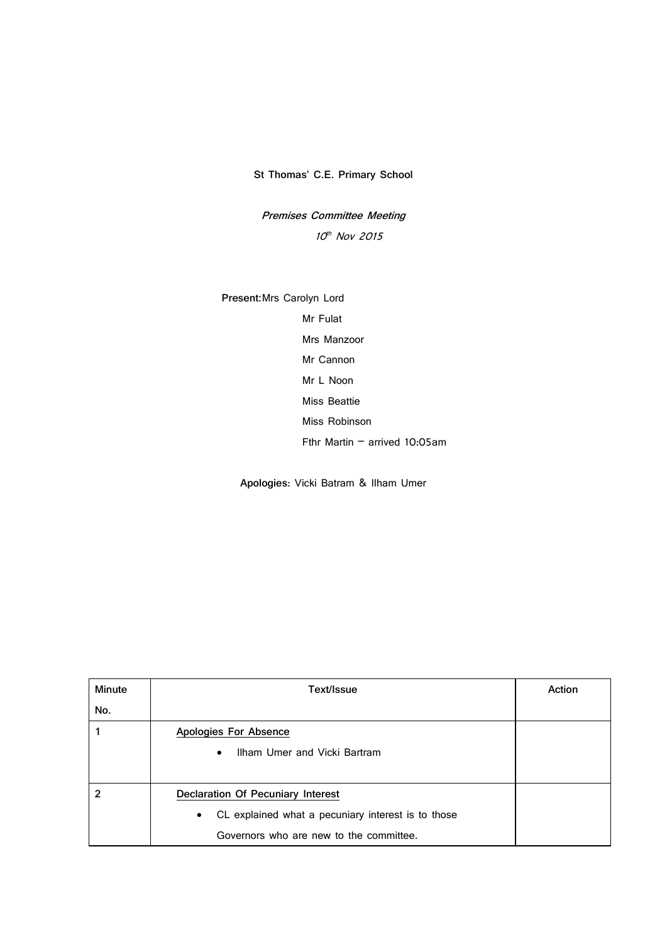**St Thomas' C.E. Primary School**

**Premises Committee Meeting** 10<sup>th</sup> Nov 2015

**Present:**Mrs Carolyn Lord Mr Fulat Mrs Manzoor Mr Cannon Mr L Noon Miss Beattie Miss Robinson Fthr Martin – arrived 10:05am

**Apologies**: Vicki Batram & Ilham Umer

| Minute | Text/Issue                                                      | Action |
|--------|-----------------------------------------------------------------|--------|
| No.    |                                                                 |        |
|        | Apologies For Absence                                           |        |
|        | Ilham Umer and Vicki Bartram<br>$\bullet$                       |        |
|        |                                                                 |        |
|        | Declaration Of Pecuniary Interest                               |        |
|        | CL explained what a pecuniary interest is to those<br>$\bullet$ |        |
|        | Governors who are new to the committee.                         |        |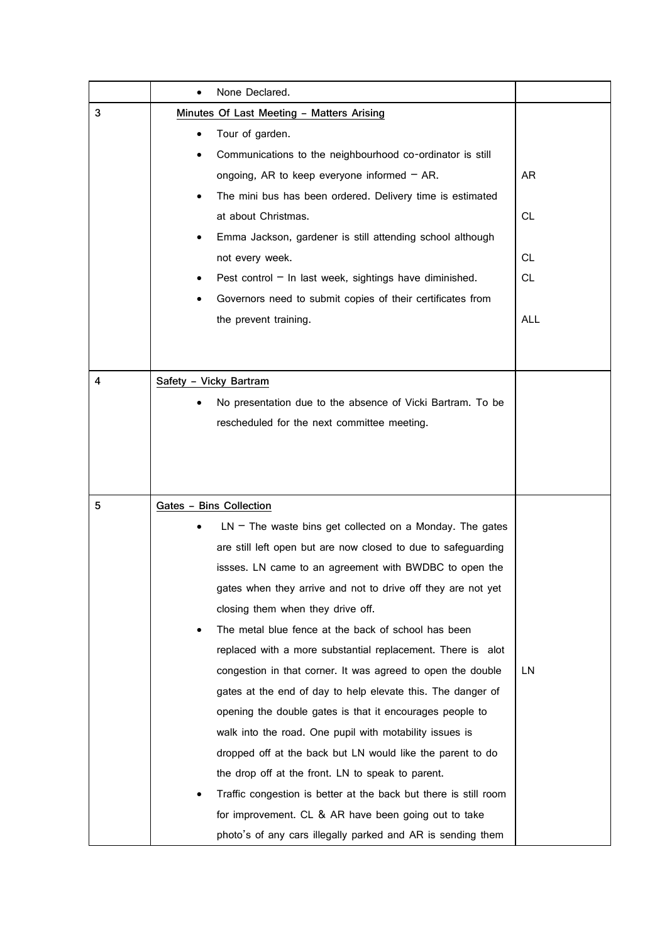|   | None Declared.<br>$\bullet$                                      |            |
|---|------------------------------------------------------------------|------------|
| 3 | Minutes Of Last Meeting - Matters Arising                        |            |
|   | Tour of garden.                                                  |            |
|   | Communications to the neighbourhood co-ordinator is still        |            |
|   | ongoing, AR to keep everyone informed $-$ AR.                    | AR         |
|   | The mini bus has been ordered. Delivery time is estimated        |            |
|   | at about Christmas.                                              | <b>CL</b>  |
|   | Emma Jackson, gardener is still attending school although        |            |
|   | not every week.                                                  | СL         |
|   | Pest control $-$ In last week, sightings have diminished.        | CL.        |
|   | Governors need to submit copies of their certificates from       |            |
|   | the prevent training.                                            | <b>ALL</b> |
|   |                                                                  |            |
|   |                                                                  |            |
| 4 | Safety - Vicky Bartram                                           |            |
|   | No presentation due to the absence of Vicki Bartram. To be       |            |
|   | rescheduled for the next committee meeting.                      |            |
|   |                                                                  |            |
|   |                                                                  |            |
|   |                                                                  |            |
| 5 | Gates - Bins Collection                                          |            |
|   | $LN$ – The waste bins get collected on a Monday. The gates       |            |
|   | are still left open but are now closed to due to safeguarding    |            |
|   | issses. LN came to an agreement with BWDBC to open the           |            |
|   | gates when they arrive and not to drive off they are not yet     |            |
|   | closing them when they drive off.                                |            |
|   | The metal blue fence at the back of school has been              |            |
|   | replaced with a more substantial replacement. There is alot      |            |
|   | congestion in that corner. It was agreed to open the double      | LN         |
|   | gates at the end of day to help elevate this. The danger of      |            |
|   | opening the double gates is that it encourages people to         |            |
|   | walk into the road. One pupil with motability issues is          |            |
|   | dropped off at the back but LN would like the parent to do       |            |
|   | the drop off at the front. LN to speak to parent.                |            |
|   | Traffic congestion is better at the back but there is still room |            |
|   | for improvement. CL & AR have been going out to take             |            |
|   | photo's of any cars illegally parked and AR is sending them      |            |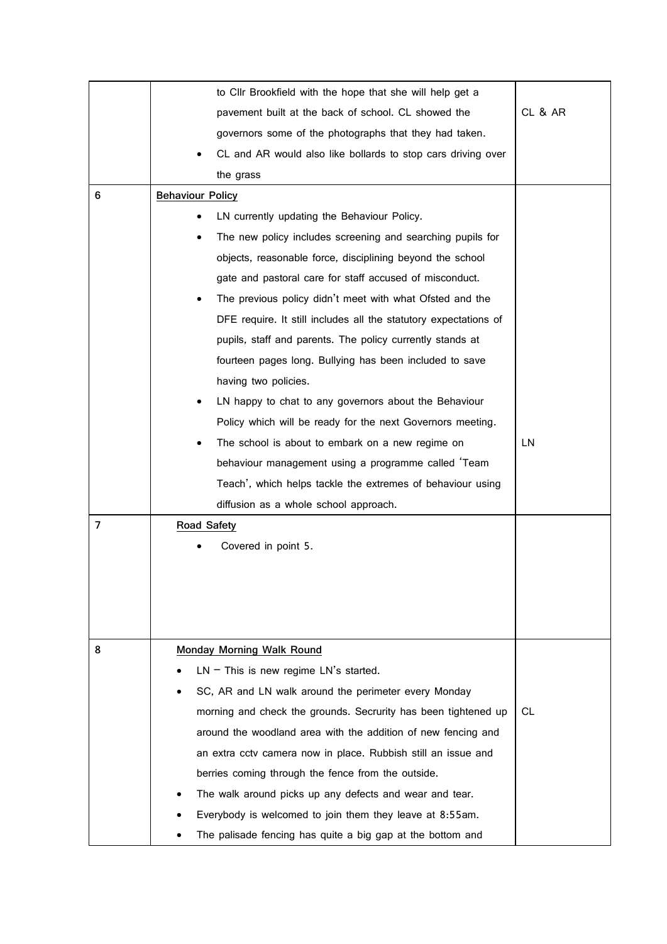|   | to Cllr Brookfield with the hope that she will help get a        |         |
|---|------------------------------------------------------------------|---------|
|   | pavement built at the back of school. CL showed the              | CL & AR |
|   | governors some of the photographs that they had taken.           |         |
|   | CL and AR would also like bollards to stop cars driving over     |         |
|   | the grass                                                        |         |
| 6 | <b>Behaviour Policy</b>                                          |         |
|   | LN currently updating the Behaviour Policy.                      |         |
|   | The new policy includes screening and searching pupils for       |         |
|   | objects, reasonable force, disciplining beyond the school        |         |
|   | gate and pastoral care for staff accused of misconduct.          |         |
|   | The previous policy didn't meet with what Ofsted and the         |         |
|   | DFE require. It still includes all the statutory expectations of |         |
|   | pupils, staff and parents. The policy currently stands at        |         |
|   | fourteen pages long. Bullying has been included to save          |         |
|   | having two policies.                                             |         |
|   | LN happy to chat to any governors about the Behaviour            |         |
|   | Policy which will be ready for the next Governors meeting.       |         |
|   | The school is about to embark on a new regime on                 | LN      |
|   | behaviour management using a programme called 'Team              |         |
|   | Teach', which helps tackle the extremes of behaviour using       |         |
|   | diffusion as a whole school approach.                            |         |
| 7 | Road Safety                                                      |         |
|   | Covered in point 5.                                              |         |
|   |                                                                  |         |
|   |                                                                  |         |
|   |                                                                  |         |
|   |                                                                  |         |
| 8 | Monday Morning Walk Round                                        |         |
|   | $LN$ – This is new regime $LN$ 's started.                       |         |
|   | SC, AR and LN walk around the perimeter every Monday             |         |
|   | morning and check the grounds. Secrurity has been tightened up   | CL      |
|   | around the woodland area with the addition of new fencing and    |         |
|   | an extra cctv camera now in place. Rubbish still an issue and    |         |
|   | berries coming through the fence from the outside.               |         |
|   | The walk around picks up any defects and wear and tear.          |         |
|   | Everybody is welcomed to join them they leave at 8:55am.         |         |
|   | The palisade fencing has quite a big gap at the bottom and       |         |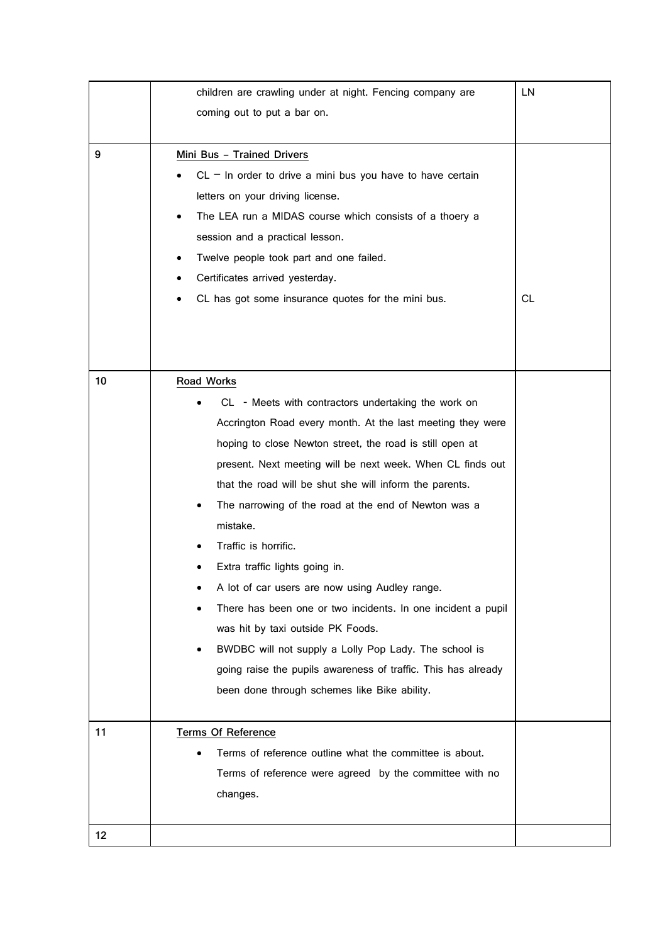|    | children are crawling under at night. Fencing company are     | LN        |
|----|---------------------------------------------------------------|-----------|
|    | coming out to put a bar on.                                   |           |
|    |                                                               |           |
| 9  | Mini Bus - Trained Drivers                                    |           |
|    | $CL - In order to drive a mini bus you have to have certain$  |           |
|    | letters on your driving license.                              |           |
|    | The LEA run a MIDAS course which consists of a thoery a       |           |
|    | session and a practical lesson.                               |           |
|    | Twelve people took part and one failed.                       |           |
|    | Certificates arrived yesterday.                               |           |
|    | CL has got some insurance quotes for the mini bus.            | <b>CL</b> |
|    |                                                               |           |
|    |                                                               |           |
|    |                                                               |           |
| 10 | Road Works                                                    |           |
|    | CL - Meets with contractors undertaking the work on           |           |
|    | Accrington Road every month. At the last meeting they were    |           |
|    | hoping to close Newton street, the road is still open at      |           |
|    | present. Next meeting will be next week. When CL finds out    |           |
|    | that the road will be shut she will inform the parents.       |           |
|    | The narrowing of the road at the end of Newton was a          |           |
|    | mistake.                                                      |           |
|    | Traffic is horrific.                                          |           |
|    | Extra traffic lights going in.                                |           |
|    | A lot of car users are now using Audley range.                |           |
|    | There has been one or two incidents. In one incident a pupil  |           |
|    | was hit by taxi outside PK Foods.                             |           |
|    | BWDBC will not supply a Lolly Pop Lady. The school is         |           |
|    | going raise the pupils awareness of traffic. This has already |           |
|    | been done through schemes like Bike ability.                  |           |
|    |                                                               |           |
| 11 | <b>Terms Of Reference</b>                                     |           |
|    | Terms of reference outline what the committee is about.       |           |
|    | Terms of reference were agreed by the committee with no       |           |
|    | changes.                                                      |           |
|    |                                                               |           |
| 12 |                                                               |           |